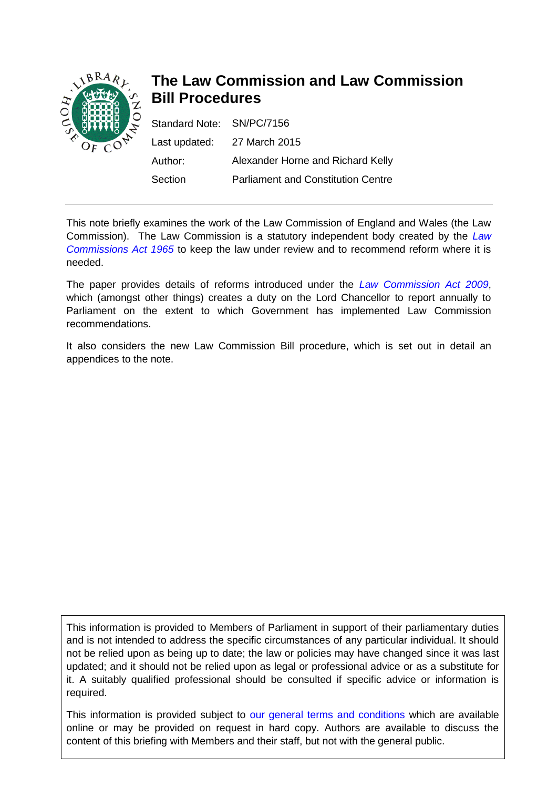

# **The Law Commission and Law Commission Bill Procedures**

| Standard Note: SN/PC/7156 |                                           |
|---------------------------|-------------------------------------------|
|                           | Last updated: 27 March 2015               |
| Author:                   | Alexander Horne and Richard Kelly         |
| Section                   | <b>Parliament and Constitution Centre</b> |

This note briefly examines the work of the Law Commission of England and Wales (the Law Commission). The Law Commission is a statutory independent body created by the *[Law](http://www.legislation.gov.uk/ukpga/1965/22)  [Commissions Act 1965](http://www.legislation.gov.uk/ukpga/1965/22)* to keep the law under review and to recommend reform where it is needed.

The paper provides details of reforms introduced under the *[Law Commission Act 2009](http://www.legislation.gov.uk/ukpga/2009/14/contents)*, which (amongst other things) creates a duty on the Lord Chancellor to report annually to Parliament on the extent to which Government has implemented Law Commission recommendations.

It also considers the new Law Commission Bill procedure, which is set out in detail an appendices to the note.

This information is provided to Members of Parliament in support of their parliamentary duties and is not intended to address the specific circumstances of any particular individual. It should not be relied upon as being up to date; the law or policies may have changed since it was last updated; and it should not be relied upon as legal or professional advice or as a substitute for it. A suitably qualified professional should be consulted if specific advice or information is required.

This information is provided subject to [our general terms and conditions](http://www.parliament.uk/site-information/copyright/) which are available online or may be provided on request in hard copy. Authors are available to discuss the content of this briefing with Members and their staff, but not with the general public.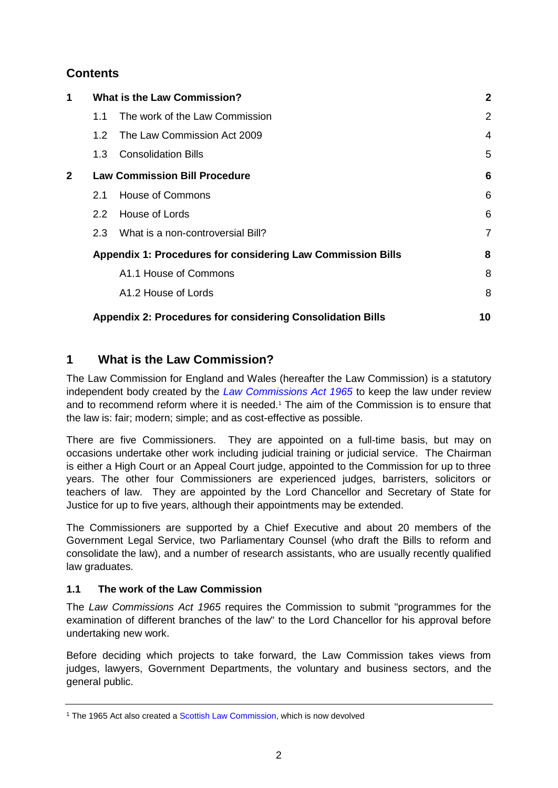# **Contents**

| 1            | <b>What is the Law Commission?</b>                                 |                                   | $\overline{2}$ |
|--------------|--------------------------------------------------------------------|-----------------------------------|----------------|
|              | 1.1                                                                | The work of the Law Commission    | 2              |
|              | 1.2 <sub>1</sub>                                                   | The Law Commission Act 2009       | 4              |
|              | $1.3-$                                                             | <b>Consolidation Bills</b>        | 5              |
| $\mathbf{2}$ | <b>Law Commission Bill Procedure</b>                               |                                   | 6              |
|              | 2.1                                                                | House of Commons                  | 6              |
|              | $2.2^{\circ}$                                                      | House of Lords                    | 6              |
|              | $2.3^{\circ}$                                                      | What is a non-controversial Bill? | $\overline{7}$ |
|              | <b>Appendix 1: Procedures for considering Law Commission Bills</b> |                                   | 8              |
|              |                                                                    | A1.1 House of Commons             | 8              |
|              |                                                                    | A1.2 House of Lords               | 8              |
|              | <b>Appendix 2: Procedures for considering Consolidation Bills</b>  |                                   | 10             |

# <span id="page-1-0"></span>**1 What is the Law Commission?**

The Law Commission for England and Wales (hereafter the Law Commission) is a statutory independent body created by the *[Law Commissions Act 1965](http://www.legislation.gov.uk/ukpga/1965/22)* to keep the law under review and to recommend reform where it is needed.<sup>1</sup> The aim of the Commission is to ensure that the law is: fair; modern; simple; and as cost-effective as possible.

There are five Commissioners. They are appointed on a full-time basis, but may on occasions undertake other work including judicial training or judicial service. The Chairman is either a High Court or an Appeal Court judge, appointed to the Commission for up to three years. The other four Commissioners are experienced judges, barristers, solicitors or teachers of law. They are appointed by the Lord Chancellor and Secretary of State for Justice for up to five years, although their appointments may be extended.

The Commissioners are supported by a Chief Executive and about 20 members of the Government Legal Service, two Parliamentary Counsel (who draft the Bills to reform and consolidate the law), and a number of research assistants, who are usually recently qualified law graduates.

## <span id="page-1-1"></span>**1.1 The work of the Law Commission**

The *Law Commissions Act 1965* requires the Commission to submit "programmes for the examination of different branches of the law" to the Lord Chancellor for his approval before undertaking new work.

Before deciding which projects to take forward, the Law Commission takes views from judges, lawyers, Government Departments, the voluntary and business sectors, and the general public.

<sup>&</sup>lt;sup>1</sup> The 1965 Act also created a [Scottish Law Commission,](http://www.scotlawcom.gov.uk/) which is now devolved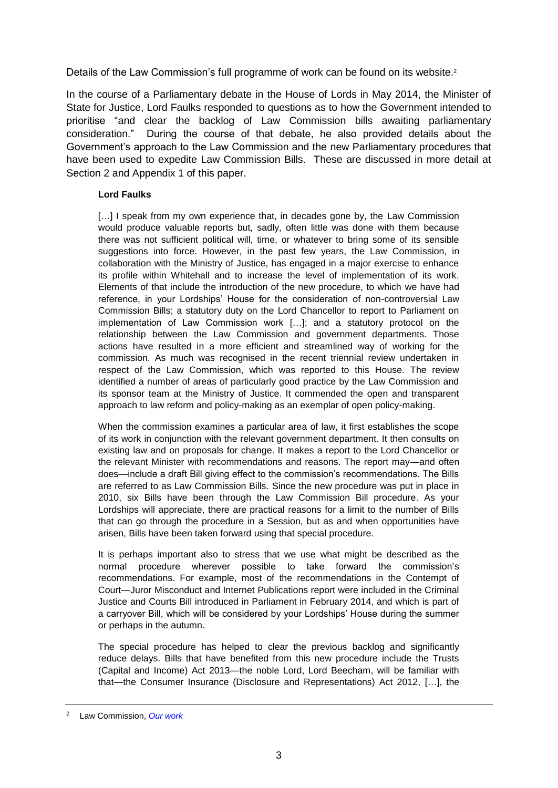Details of the Law Commission's full programme of work can be found on its website.<sup>2</sup>

In the course of a Parliamentary debate in the House of Lords in May 2014, the Minister of State for Justice, Lord Faulks responded to questions as to how the Government intended to prioritise "and clear the backlog of Law Commission bills awaiting parliamentary consideration." During the course of that debate, he also provided details about the Government's approach to the Law Commission and the new Parliamentary procedures that have been used to expedite Law Commission Bills. These are discussed in more detail at Section 2 and Appendix 1 of this paper.

#### **Lord Faulks**

[...] I speak from my own experience that, in decades gone by, the Law Commission would produce valuable reports but, sadly, often little was done with them because there was not sufficient political will, time, or whatever to bring some of its sensible suggestions into force. However, in the past few years, the Law Commission, in collaboration with the Ministry of Justice, has engaged in a major exercise to enhance its profile within Whitehall and to increase the level of implementation of its work. Elements of that include the introduction of the new procedure, to which we have had reference, in your Lordships' House for the consideration of non-controversial Law Commission Bills; a statutory duty on the Lord Chancellor to report to Parliament on implementation of Law Commission work […]; and a statutory protocol on the relationship between the Law Commission and government departments. Those actions have resulted in a more efficient and streamlined way of working for the commission. As much was recognised in the recent triennial review undertaken in respect of the Law Commission, which was reported to this House. The review identified a number of areas of particularly good practice by the Law Commission and its sponsor team at the Ministry of Justice. It commended the open and transparent approach to law reform and policy-making as an exemplar of open policy-making.

When the commission examines a particular area of law, it first establishes the scope of its work in conjunction with the relevant government department. It then consults on existing law and on proposals for change. It makes a report to the Lord Chancellor or the relevant Minister with recommendations and reasons. The report may—and often does—include a draft Bill giving effect to the commission's recommendations. The Bills are referred to as Law Commission Bills. Since the new procedure was put in place in 2010, six Bills have been through the Law Commission Bill procedure. As your Lordships will appreciate, there are practical reasons for a limit to the number of Bills that can go through the procedure in a Session, but as and when opportunities have arisen, Bills have been taken forward using that special procedure.

It is perhaps important also to stress that we use what might be described as the normal procedure wherever possible to take forward the commission's recommendations. For example, most of the recommendations in the Contempt of Court—Juror Misconduct and Internet Publications report were included in the Criminal Justice and Courts Bill introduced in Parliament in February 2014, and which is part of a carryover Bill, which will be considered by your Lordships' House during the summer or perhaps in the autumn.

The special procedure has helped to clear the previous backlog and significantly reduce delays. Bills that have benefited from this new procedure include the Trusts (Capital and Income) Act 2013—the noble Lord, Lord Beecham, will be familiar with that—the Consumer Insurance (Disclosure and Representations) Act 2012, […], the

<sup>2</sup> Law Commission, *[Our work](http://lawcommission.justice.gov.uk/our%20work.htm)*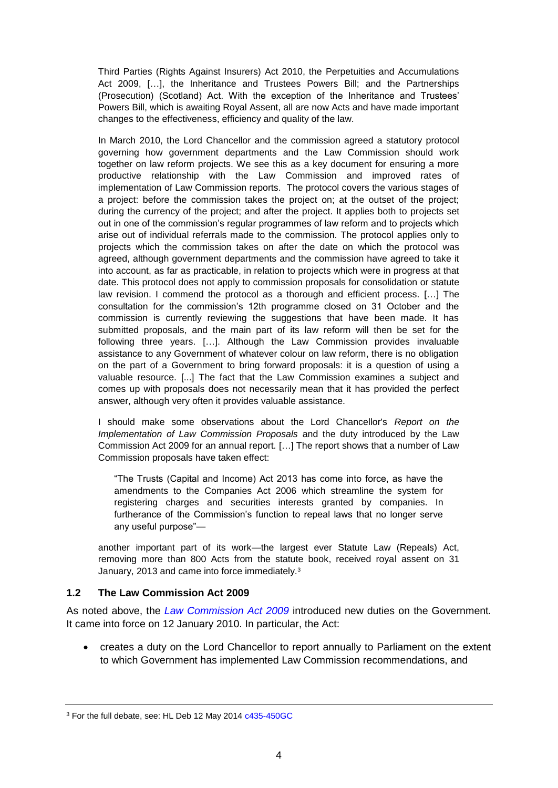Third Parties (Rights Against Insurers) Act 2010, the Perpetuities and Accumulations Act 2009, […], the Inheritance and Trustees Powers Bill; and the Partnerships (Prosecution) (Scotland) Act. With the exception of the Inheritance and Trustees' Powers Bill, which is awaiting Royal Assent, all are now Acts and have made important changes to the effectiveness, efficiency and quality of the law.

In March 2010, the Lord Chancellor and the commission agreed a statutory protocol governing how government departments and the Law Commission should work together on law reform projects. We see this as a key document for ensuring a more productive relationship with the Law Commission and improved rates of implementation of Law Commission reports. The protocol covers the various stages of a project: before the commission takes the project on; at the outset of the project; during the currency of the project; and after the project. It applies both to projects set out in one of the commission's regular programmes of law reform and to projects which arise out of individual referrals made to the commission. The protocol applies only to projects which the commission takes on after the date on which the protocol was agreed, although government departments and the commission have agreed to take it into account, as far as practicable, in relation to projects which were in progress at that date. This protocol does not apply to commission proposals for consolidation or statute law revision. I commend the protocol as a thorough and efficient process. […] The consultation for the commission's 12th programme closed on 31 October and the commission is currently reviewing the suggestions that have been made. It has submitted proposals, and the main part of its law reform will then be set for the following three years. […]. Although the Law Commission provides invaluable assistance to any Government of whatever colour on law reform, there is no obligation on the part of a Government to bring forward proposals: it is a question of using a valuable resource. [...] The fact that the Law Commission examines a subject and comes up with proposals does not necessarily mean that it has provided the perfect answer, although very often it provides valuable assistance.

I should make some observations about the Lord Chancellor's *Report on the Implementation of Law Commission Proposals* and the duty introduced by the Law Commission Act 2009 for an annual report. […] The report shows that a number of Law Commission proposals have taken effect:

"The Trusts (Capital and Income) Act 2013 has come into force, as have the amendments to the Companies Act 2006 which streamline the system for registering charges and securities interests granted by companies. In furtherance of the Commission's function to repeal laws that no longer serve any useful purpose"—

another important part of its work—the largest ever Statute Law (Repeals) Act, removing more than 800 Acts from the statute book, received royal assent on 31 January, 2013 and came into force immediately.<sup>3</sup>

#### <span id="page-3-0"></span>**1.2 The Law Commission Act 2009**

As noted above, the *[Law Commission Act 2009](http://www.legislation.gov.uk/ukpga/2009/14/contents)* introduced new duties on the Government. It came into force on 12 January 2010. In particular, the Act:

 creates a duty on the Lord Chancellor to report annually to Parliament on the extent to which Government has implemented Law Commission recommendations, and

<sup>&</sup>lt;sup>3</sup> For the full debate, see: HL Deb 12 May 2014 [c435-450GC](http://www.publications.parliament.uk/pa/ld201314/ldhansrd/text/140512-gc0001.htm#14051218000170)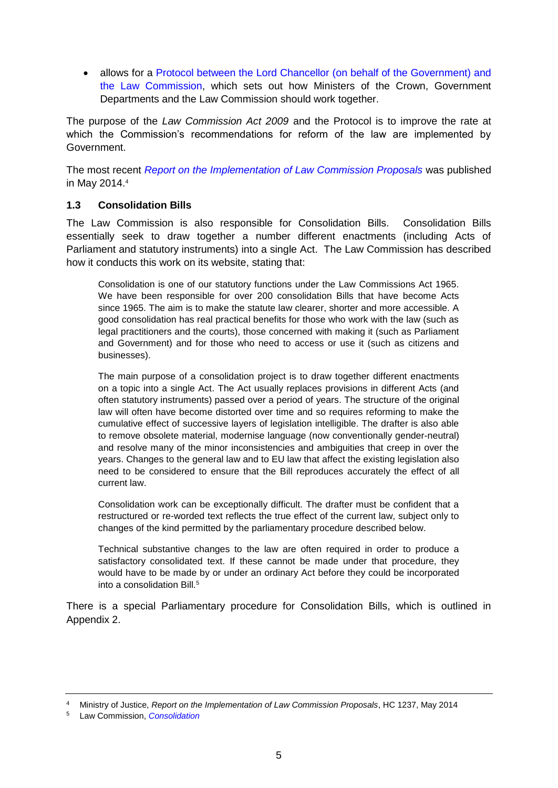• allows for a Protocol between the Lord Chancellor (on behalf of the Government) and [the Law Commission,](http://lawcommission.justice.gov.uk/docs/lc321_Protocol.pdf) which sets out how Ministers of the Crown, Government Departments and the Law Commission should work together.

The purpose of the *Law Commission Act 2009* and the Protocol is to improve the rate at which the Commission's recommendations for reform of the law are implemented by Government.

The most recent *[Report on the Implementation of Law Commission Proposals](https://www.gov.uk/government/uploads/system/uploads/attachment_data/file/309150/report-on-the-implementation-of-law-commission-proposals.pdf)* was published in May 2014.<sup>4</sup>

## <span id="page-4-0"></span>**1.3 Consolidation Bills**

The Law Commission is also responsible for Consolidation Bills. Consolidation Bills essentially seek to draw together a number different enactments (including Acts of Parliament and statutory instruments) into a single Act. The Law Commission has described how it conducts this work on its website, stating that:

Consolidation is one of our statutory functions under the Law Commissions Act 1965. We have been responsible for over 200 consolidation Bills that have become Acts since 1965. The aim is to make the statute law clearer, shorter and more accessible. A good consolidation has real practical benefits for those who work with the law (such as legal practitioners and the courts), those concerned with making it (such as Parliament and Government) and for those who need to access or use it (such as citizens and businesses).

The main purpose of a consolidation project is to draw together different enactments on a topic into a single Act. The Act usually replaces provisions in different Acts (and often statutory instruments) passed over a period of years. The structure of the original law will often have become distorted over time and so requires reforming to make the cumulative effect of successive layers of legislation intelligible. The drafter is also able to remove obsolete material, modernise language (now conventionally gender-neutral) and resolve many of the minor inconsistencies and ambiguities that creep in over the years. Changes to the general law and to EU law that affect the existing legislation also need to be considered to ensure that the Bill reproduces accurately the effect of all current law.

Consolidation work can be exceptionally difficult. The drafter must be confident that a restructured or re-worded text reflects the true effect of the current law, subject only to changes of the kind permitted by the parliamentary procedure described below.

Technical substantive changes to the law are often required in order to produce a satisfactory consolidated text. If these cannot be made under that procedure, they would have to be made by or under an ordinary Act before they could be incorporated into a consolidation Bill.<sup>5</sup>

There is a special Parliamentary procedure for Consolidation Bills, which is outlined in Appendix 2.

<sup>4</sup> Ministry of Justice, *Report on the Implementation of Law Commission Proposals*, HC 1237, May 2014

<sup>5</sup> Law Commission, *[Consolidation](http://lawcommission.justice.gov.uk/areas/consolidation.htm)*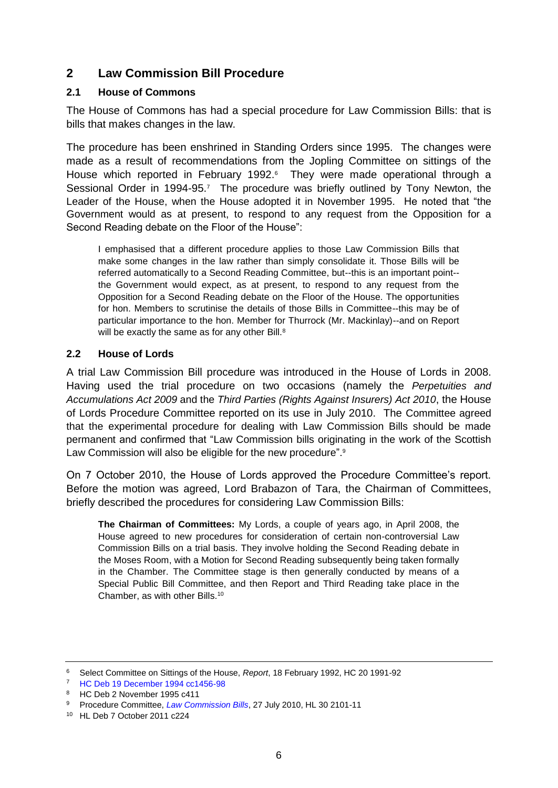## <span id="page-5-0"></span>**2 Law Commission Bill Procedure**

## <span id="page-5-1"></span>**2.1 House of Commons**

The House of Commons has had a special procedure for Law Commission Bills: that is bills that makes changes in the law.

The procedure has been enshrined in Standing Orders since 1995. The changes were made as a result of recommendations from the Jopling Committee on sittings of the House which reported in February 1992.<sup>6</sup> They were made operational through a Sessional Order in 1994-95.<sup>7</sup> The procedure was briefly outlined by Tony Newton, the Leader of the House, when the House adopted it in November 1995. He noted that "the Government would as at present, to respond to any request from the Opposition for a Second Reading debate on the Floor of the House":

I emphasised that a different procedure applies to those Law Commission Bills that make some changes in the law rather than simply consolidate it. Those Bills will be referred automatically to a Second Reading Committee, but--this is an important point- the Government would expect, as at present, to respond to any request from the Opposition for a Second Reading debate on the Floor of the House. The opportunities for hon. Members to scrutinise the details of those Bills in Committee--this may be of particular importance to the hon. Member for Thurrock (Mr. Mackinlay)--and on Report will be exactly the same as for any other Bill.<sup>8</sup>

## <span id="page-5-2"></span>**2.2 House of Lords**

A trial Law Commission Bill procedure was introduced in the House of Lords in 2008. Having used the trial procedure on two occasions (namely the *Perpetuities and Accumulations Act 2009* and the *Third Parties (Rights Against Insurers) Act 2010*, the House of Lords Procedure Committee reported on its use in July 2010. The Committee agreed that the experimental procedure for dealing with Law Commission Bills should be made permanent and confirmed that "Law Commission bills originating in the work of the Scottish Law Commission will also be eligible for the new procedure".<sup>9</sup>

On 7 October 2010, the House of Lords approved the Procedure Committee's report. Before the motion was agreed, Lord Brabazon of Tara, the Chairman of Committees, briefly described the procedures for considering Law Commission Bills:

**The Chairman of Committees:** My Lords, a couple of years ago, in April 2008, the House agreed to new procedures for consideration of certain non-controversial Law Commission Bills on a trial basis. They involve holding the Second Reading debate in the Moses Room, with a Motion for Second Reading subsequently being taken formally in the Chamber. The Committee stage is then generally conducted by means of a Special Public Bill Committee, and then Report and Third Reading take place in the Chamber, as with other Bills.<sup>10</sup>

<sup>6</sup> Select Committee on Sittings of the House, *Report*, 18 February 1992, HC 20 1991-92

<sup>7</sup> [HC Deb 19 December 1994 cc1456-98](http://hansard.millbanksystems.com/commons/1994/dec/19/jopling-report)

<sup>8</sup> HC Deb 2 November 1995 c411

<sup>9</sup> Procedure Committee, *[Law Commission Bills](http://www.publications.parliament.uk/pa/ld201011/ldselect/ldprohse/30/30.pdf)*, 27 July 2010, HL 30 2101-11

<sup>10</sup> HL Deb 7 October 2011 c224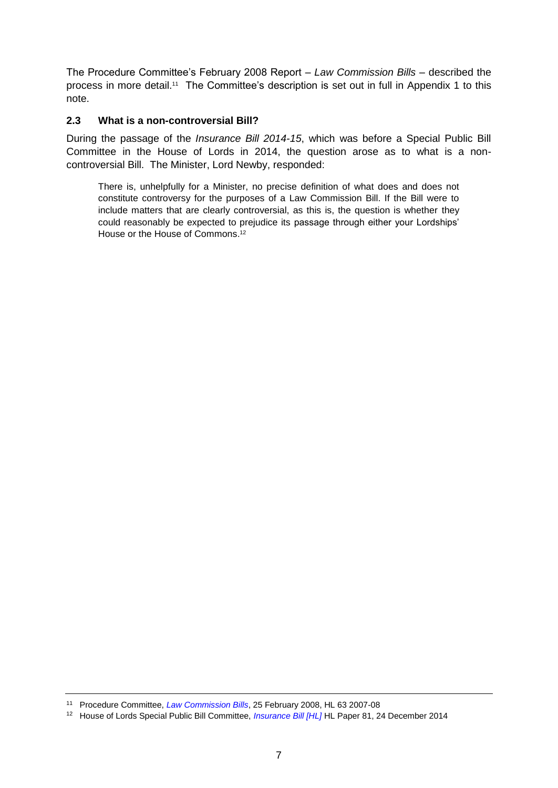The Procedure Committee's February 2008 Report – *Law Commission Bills* – described the process in more detail.<sup>11</sup> The Committee's description is set out in full in Appendix 1 to this note.

## <span id="page-6-0"></span>**2.3 What is a non-controversial Bill?**

During the passage of the *Insurance Bill 2014-15*, which was before a Special Public Bill Committee in the House of Lords in 2014, the question arose as to what is a noncontroversial Bill. The Minister, Lord Newby, responded:

There is, unhelpfully for a Minister, no precise definition of what does and does not constitute controversy for the purposes of a Law Commission Bill. If the Bill were to include matters that are clearly controversial, as this is, the question is whether they could reasonably be expected to prejudice its passage through either your Lordships' House or the House of Commons. 12

<sup>11</sup> Procedure Committee, *[Law Commission Bills](http://www.publications.parliament.uk/pa/ld200708/ldselect/ldprohse/63/63.pdf)*, 25 February 2008, HL 63 2007-08

<sup>12</sup> House of Lords Special Public Bill Committee, *[Insurance Bill \[HL\]](http://www.publications.parliament.uk/pa/ld201415/ldselect/ldinsur/81/81.pdf)* HL Paper 81, 24 December 2014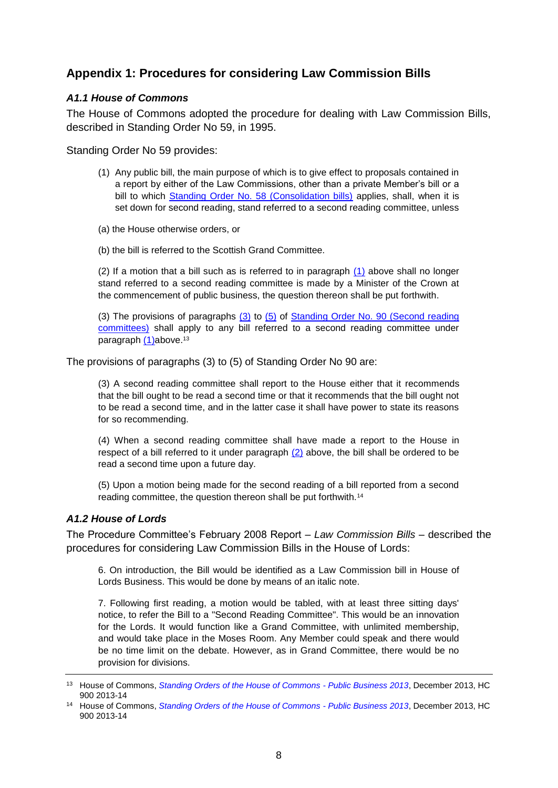# <span id="page-7-0"></span>**Appendix 1: Procedures for considering Law Commission Bills**

## <span id="page-7-1"></span>*A1.1 House of Commons*

The House of Commons adopted the procedure for dealing with Law Commission Bills, described in Standing Order No 59, in 1995.

Standing Order No 59 provides:

- (1) Any public bill, the main purpose of which is to give effect to proposals contained in a report by either of the Law Commissions, other than a private Member's bill or a bill to which [Standing Order No. 58 \(Consolidation bills\)](http://www.publications.parliament.uk/pa/cm201314/cmstords/900/body.htm#BABBJBFHA) applies, shall, when it is set down for second reading, stand referred to a second reading committee, unless
- (a) the House otherwise orders, or
- (b) the bill is referred to the Scottish Grand Committee.

(2) If a motion that a bill such as is referred to in paragraph [\(1\)](http://www.publications.parliament.uk/pa/cm201314/cmstords/900/body.htm#BABGBCEHA) above shall no longer stand referred to a second reading committee is made by a Minister of the Crown at the commencement of public business, the question thereon shall be put forthwith.

(3) The provisions of paragraphs  $(3)$  to  $(5)$  of Standing Order No. 90 (Second reading [committees\)](http://www.publications.parliament.uk/pa/cm201314/cmstords/900/body.htm#BABDBDFAA) shall apply to any bill referred to a second reading committee under paragraph [\(1\)a](http://www.publications.parliament.uk/pa/cm201314/cmstords/900/body.htm#BABGBCEHA)bove.<sup>13</sup>

The provisions of paragraphs (3) to (5) of Standing Order No 90 are:

(3) A second reading committee shall report to the House either that it recommends that the bill ought to be read a second time or that it recommends that the bill ought not to be read a second time, and in the latter case it shall have power to state its reasons for so recommending.

(4) When a second reading committee shall have made a report to the House in respect of a bill referred to it under paragraph [\(2\)](http://www.publications.parliament.uk/pa/cm201314/cmstords/900/body.htm#BABCIDEHA) above, the bill shall be ordered to be read a second time upon a future day.

(5) Upon a motion being made for the second reading of a bill reported from a second reading committee, the question thereon shall be put forthwith.<sup>14</sup>

#### <span id="page-7-2"></span>*A1.2 House of Lords*

The Procedure Committee's February 2008 Report – *Law Commission Bills* – described the procedures for considering Law Commission Bills in the House of Lords:

6. On introduction, the Bill would be identified as a Law Commission bill in House of Lords Business. This would be done by means of an italic note.

7. Following first reading, a motion would be tabled, with at least three sitting days' notice, to refer the Bill to a "Second Reading Committee". This would be an innovation for the Lords. It would function like a Grand Committee, with unlimited membership, and would take place in the Moses Room. Any Member could speak and there would be no time limit on the debate. However, as in Grand Committee, there would be no provision for divisions.

<sup>13</sup> House of Commons, *[Standing Orders of the House of Commons -](http://www.publications.parliament.uk/pa/cm201314/cmstords/900/body.htm#59) Public Business 2013*, December 2013, HC 900 2013-14

<sup>14</sup> House of Commons, *[Standing Orders of the House of Commons -](http://www.publications.parliament.uk/pa/cm201314/cmstords/900/body.htm#90) Public Business 2013*, December 2013, HC 900 2013-14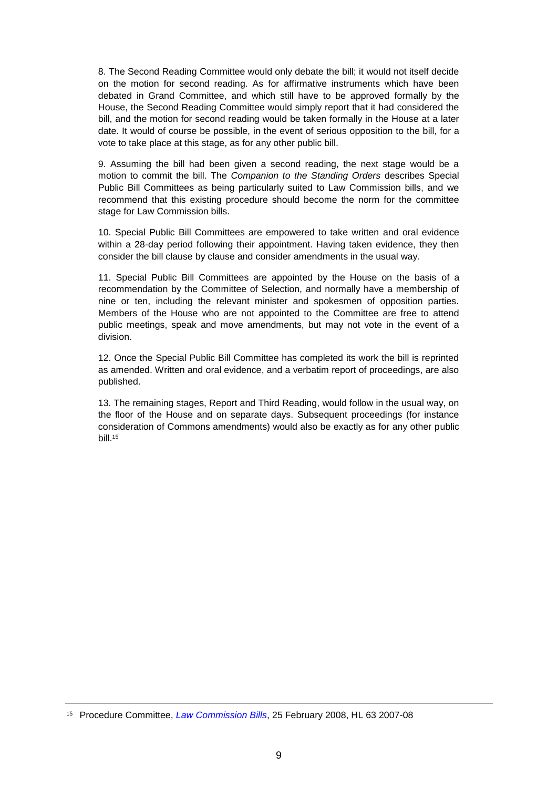8. The Second Reading Committee would only debate the bill; it would not itself decide on the motion for second reading. As for affirmative instruments which have been debated in Grand Committee, and which still have to be approved formally by the House, the Second Reading Committee would simply report that it had considered the bill, and the motion for second reading would be taken formally in the House at a later date. It would of course be possible, in the event of serious opposition to the bill, for a vote to take place at this stage, as for any other public bill.

9. Assuming the bill had been given a second reading, the next stage would be a motion to commit the bill. The *Companion to the Standing Orders* describes Special Public Bill Committees as being particularly suited to Law Commission bills, and we recommend that this existing procedure should become the norm for the committee stage for Law Commission bills.

10. Special Public Bill Committees are empowered to take written and oral evidence within a 28-day period following their appointment. Having taken evidence, they then consider the bill clause by clause and consider amendments in the usual way.

11. Special Public Bill Committees are appointed by the House on the basis of a recommendation by the Committee of Selection, and normally have a membership of nine or ten, including the relevant minister and spokesmen of opposition parties. Members of the House who are not appointed to the Committee are free to attend public meetings, speak and move amendments, but may not vote in the event of a division.

12. Once the Special Public Bill Committee has completed its work the bill is reprinted as amended. Written and oral evidence, and a verbatim report of proceedings, are also published.

13. The remaining stages, Report and Third Reading, would follow in the usual way, on the floor of the House and on separate days. Subsequent proceedings (for instance consideration of Commons amendments) would also be exactly as for any other public bill.<sup>15</sup>

<sup>15</sup> Procedure Committee, *[Law Commission Bills](http://www.publications.parliament.uk/pa/ld200708/ldselect/ldprohse/63/63.pdf)*, 25 February 2008, HL 63 2007-08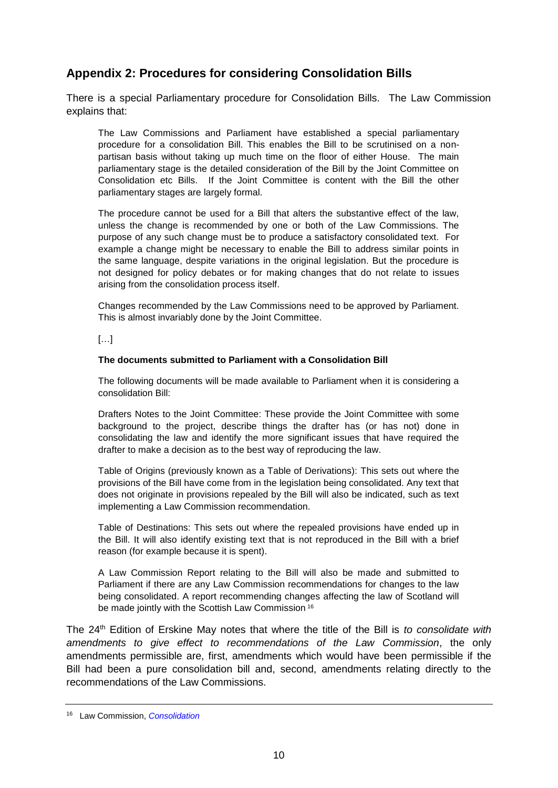# <span id="page-9-0"></span>**Appendix 2: Procedures for considering Consolidation Bills**

There is a special Parliamentary procedure for Consolidation Bills. The Law Commission explains that:

The Law Commissions and Parliament have established a special parliamentary procedure for a consolidation Bill. This enables the Bill to be scrutinised on a nonpartisan basis without taking up much time on the floor of either House. The main parliamentary stage is the detailed consideration of the Bill by the Joint Committee on Consolidation etc Bills. If the Joint Committee is content with the Bill the other parliamentary stages are largely formal.

The procedure cannot be used for a Bill that alters the substantive effect of the law, unless the change is recommended by one or both of the Law Commissions. The purpose of any such change must be to produce a satisfactory consolidated text. For example a change might be necessary to enable the Bill to address similar points in the same language, despite variations in the original legislation. But the procedure is not designed for policy debates or for making changes that do not relate to issues arising from the consolidation process itself.

Changes recommended by the Law Commissions need to be approved by Parliament. This is almost invariably done by the Joint Committee.

[…]

#### **The documents submitted to Parliament with a Consolidation Bill**

The following documents will be made available to Parliament when it is considering a consolidation Bill:

Drafters Notes to the Joint Committee: These provide the Joint Committee with some background to the project, describe things the drafter has (or has not) done in consolidating the law and identify the more significant issues that have required the drafter to make a decision as to the best way of reproducing the law.

Table of Origins (previously known as a Table of Derivations): This sets out where the provisions of the Bill have come from in the legislation being consolidated. Any text that does not originate in provisions repealed by the Bill will also be indicated, such as text implementing a Law Commission recommendation.

Table of Destinations: This sets out where the repealed provisions have ended up in the Bill. It will also identify existing text that is not reproduced in the Bill with a brief reason (for example because it is spent).

A Law Commission Report relating to the Bill will also be made and submitted to Parliament if there are any Law Commission recommendations for changes to the law being consolidated. A report recommending changes affecting the law of Scotland will be made jointly with the Scottish Law Commission <sup>16</sup>

The 24th Edition of Erskine May notes that where the title of the Bill is *to consolidate with amendments to give effect to recommendations of the Law Commission*, the only amendments permissible are, first, amendments which would have been permissible if the Bill had been a pure consolidation bill and, second, amendments relating directly to the recommendations of the Law Commissions.

<sup>16</sup> Law Commission, *[Consolidation](http://lawcommission.justice.gov.uk/areas/consolidation.htm)*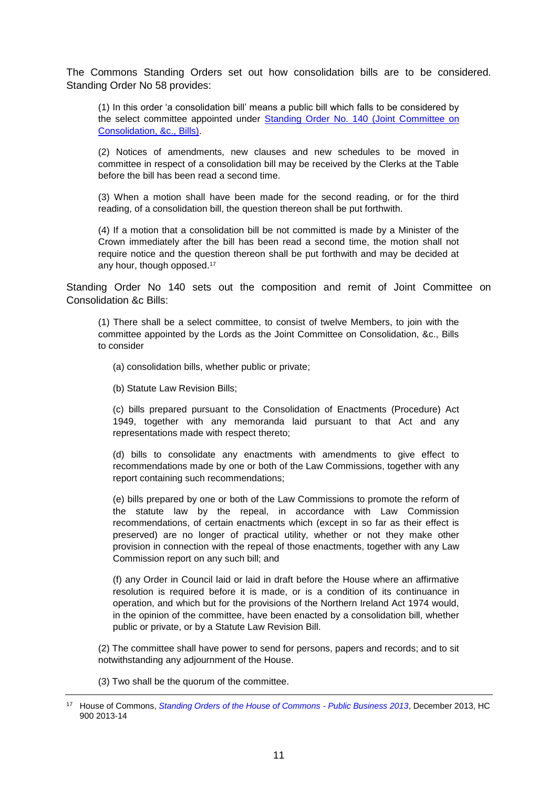The Commons Standing Orders set out how consolidation bills are to be considered. Standing Order No 58 provides:

(1) In this order 'a consolidation bill' means a public bill which falls to be considered by the select committee appointed under [Standing Order No. 140 \(Joint Committee on](http://www.publications.parliament.uk/pa/cm201314/cmstords/900/body.htm#BABCGFBDA)  [Consolidation, &c., Bills\).](http://www.publications.parliament.uk/pa/cm201314/cmstords/900/body.htm#BABCGFBDA)

(2) Notices of amendments, new clauses and new schedules to be moved in committee in respect of a consolidation bill may be received by the Clerks at the Table before the bill has been read a second time.

(3) When a motion shall have been made for the second reading, or for the third reading, of a consolidation bill, the question thereon shall be put forthwith.

(4) If a motion that a consolidation bill be not committed is made by a Minister of the Crown immediately after the bill has been read a second time, the motion shall not require notice and the question thereon shall be put forthwith and may be decided at any hour, though opposed.<sup>17</sup>

Standing Order No 140 sets out the composition and remit of Joint Committee on Consolidation &c Bills:

(1) There shall be a select committee, to consist of twelve Members, to join with the committee appointed by the Lords as the Joint Committee on Consolidation, &c., Bills to consider

(a) consolidation bills, whether public or private;

(b) Statute Law Revision Bills;

(c) bills prepared pursuant to the Consolidation of Enactments (Procedure) Act 1949, together with any memoranda laid pursuant to that Act and any representations made with respect thereto;

(d) bills to consolidate any enactments with amendments to give effect to recommendations made by one or both of the Law Commissions, together with any report containing such recommendations;

(e) bills prepared by one or both of the Law Commissions to promote the reform of the statute law by the repeal, in accordance with Law Commission recommendations, of certain enactments which (except in so far as their effect is preserved) are no longer of practical utility, whether or not they make other provision in connection with the repeal of those enactments, together with any Law Commission report on any such bill; and

(f) any Order in Council laid or laid in draft before the House where an affirmative resolution is required before it is made, or is a condition of its continuance in operation, and which but for the provisions of the Northern Ireland Act 1974 would, in the opinion of the committee, have been enacted by a consolidation bill, whether public or private, or by a Statute Law Revision Bill.

(2) The committee shall have power to send for persons, papers and records; and to sit notwithstanding any adjournment of the House.

(3) Two shall be the quorum of the committee.

<sup>17</sup> House of Commons, *[Standing Orders of the House of Commons -](http://www.publications.parliament.uk/pa/cm201314/cmstords/900/body.htm#59) Public Business 2013*, December 2013, HC 900 2013-14